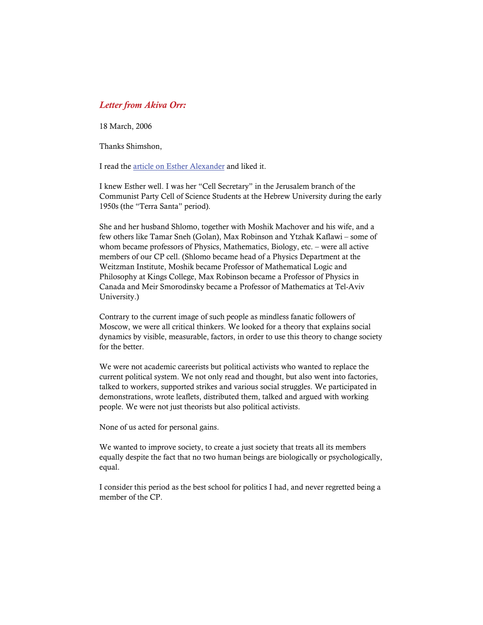## *Letter from Akiva Orr:*

18 March, 2006

Thanks Shimshon,

I read the [article on Esther Alexander](http://bnarchives.yorku.ca/199/) and liked it.

I knew Esther well. I was her "Cell Secretary" in the Jerusalem branch of the Communist Party Cell of Science Students at the Hebrew University during the early 1950s (the "Terra Santa" period).

She and her husband Shlomo, together with Moshik Machover and his wife, and a few others like Tamar Sneh (Golan), Max Robinson and Ytzhak Kaflawi – some of whom became professors of Physics, Mathematics, Biology, etc. – were all active members of our CP cell. (Shlomo became head of a Physics Department at the Weitzman Institute, Moshik became Professor of Mathematical Logic and Philosophy at Kings College, Max Robinson became a Professor of Physics in Canada and Meir Smorodinsky became a Professor of Mathematics at Tel-Aviv University.)

Contrary to the current image of such people as mindless fanatic followers of Moscow, we were all critical thinkers. We looked for a theory that explains social dynamics by visible, measurable, factors, in order to use this theory to change society for the better

We were not academic careerists but political activists who wanted to replace the current political system. We not only read and thought, but also went into factories, talked to workers, supported strikes and various social struggles. We participated in demonstrations, wrote leaflets, distributed them, talked and argued with working people. We were not just theorists but also political activists.

None of us acted for personal gains.

We wanted to improve society, to create a just society that treats all its members equally despite the fact that no two human beings are biologically or psychologically, equal.

I consider this period as the best school for politics I had, and never regretted being a member of the CP.